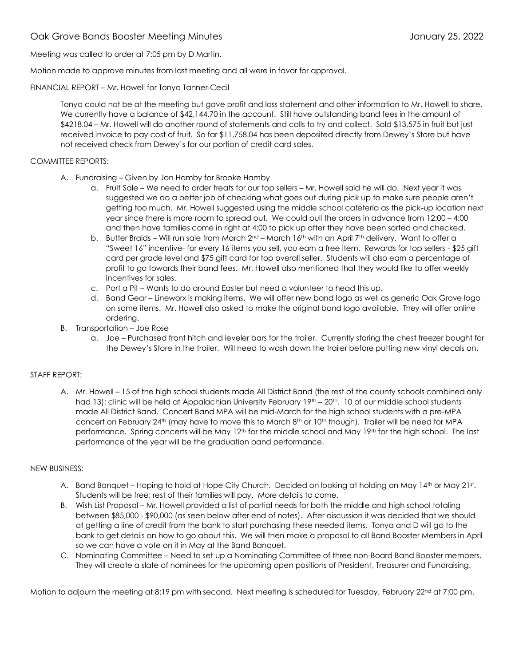# Oak Grove Bands Booster Meeting Minutes January 25, 2022

Meeting was called to order at 7:05 pm by D Martin.

Motion made to approve minutes from last meeting and all were in favor for approval.

### FINANCIAL REPORT – Mr. Howell for Tonya Tanner-Cecil

Tonya could not be at the meeting but gave profit and loss statement and other information to Mr. Howell to share. We currently have a balance of \$42,144.70 in the account. Still have outstanding band fees in the amount of \$4218.04 – Mr. Howell will do another round of statements and calls to try and collect. Sold \$13,575 in fruit but just received invoice to pay cost of fruit. So far \$11,758.04 has been deposited directly from Dewey's Store but have not received check from Dewey's for our portion of credit card sales.

## COMMITTEE REPORTS:

- A. Fundraising Given by Jon Hamby for Brooke Hamby
	- a. Fruit Sale We need to order treats for our top sellers Mr. Howell said he will do. Next year it was suggested we do a better job of checking what goes out during pick up to make sure people aren't getting too much. Mr. Howell suggested using the middle school cafeteria as the pick-up location next year since there is more room to spread out. We could pull the orders in advance from 12:00 – 4:00 and then have families come in right at 4:00 to pick up after they have been sorted and checked.
	- b. Butter Braids Will run sale from March  $2^{nd}$  March 16<sup>th</sup> with an April 7<sup>th</sup> delivery. Want to offer a "Sweet 16" incentive- for every 16 items you sell, you earn a free item. Rewards for top sellers - \$25 gift card per grade level and \$75 gift card for top overall seller. Students will also earn a percentage of profit to go towards their band fees. Mr. Howell also mentioned that they would like to offer weekly incentives for sales.
	- c. Port a Pit Wants to do around Easter but need a volunteer to head this up.
	- d. Band Gear Lineworx is making items. We will offer new band logo as well as generic Oak Grove logo on some items. Mr. Howell also asked to make the original band logo available. They will offer online ordering.
- B. Transportation Joe Rose
	- a. Joe Purchased front hitch and leveler bars for the trailer. Currently storing the chest freezer bought for the Dewey's Store in the trailer. Will need to wash down the trailer before putting new vinyl decals on.

### STAFF REPORT:

A. Mr. Howell – 15 of the high school students made All District Band (the rest of the county schools combined only had 13); clinic will be held at Appalachian University February 19th – 20th. 10 of our middle school students made All District Band. Concert Band MPA will be mid-March for the high school students with a pre-MPA concert on February 24th (may have to move this to March 8th or 10th though). Trailer will be need for MPA performance. Spring concerts will be May 12<sup>th</sup> for the middle school and May 19<sup>th</sup> for the high school. The last performance of the year will be the graduation band performance.

### NEW BUSINESS:

- A. Band Banquet Hoping to hold at Hope City Church. Decided on looking at holding on May 14th or May 21st. Students will be free; rest of their families will pay. More details to come.
- B. Wish List Proposal Mr. Howell provided a list of partial needs for both the middle and high school totaling between \$85,000 - \$90,000 (as seen below after end of notes). After discussion it was decided that we should at getting a line of credit from the bank to start purchasing these needed items. Tonya and D will go to the bank to get details on how to go about this. We will then make a proposal to all Band Booster Members in April so we can have a vote on it in May at the Band Banquet.
- C. Nominating Committee Need to set up a Nominating Committee of three non-Board Band Booster members. They will create a slate of nominees for the upcoming open positions of President, Treasurer and Fundraising.

Motion to adjourn the meeting at 8:19 pm with second. Next meeting is scheduled for Tuesday, February 22<sup>nd</sup> at 7:00 pm.